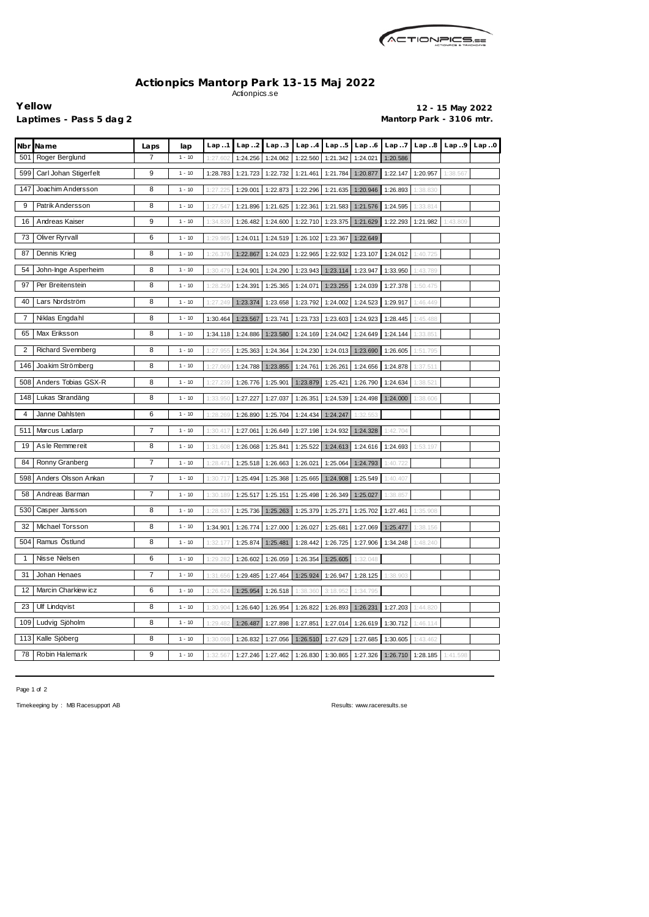

## **Actionpics Mantorp Park 13-15 Maj 2022** Actionpics.se

**Yellow 12 - 15 May 2022** Laptimes - Pass 5 dag 2 **Mantorp Park - 3106 mtr.** 

| Nbr          | <b>Name</b>              | Laps | lap      | Lap.1    | Lap.2             | Lap.3                                     | Lap.4             | Lap.5    | Lap.6                                                                   | Lap.7    | Lap.8             | Lap.9    | Lap.0 |
|--------------|--------------------------|------|----------|----------|-------------------|-------------------------------------------|-------------------|----------|-------------------------------------------------------------------------|----------|-------------------|----------|-------|
| 501          | Roger Berglund           | 7    | $1 - 10$ | 1:27.602 | 1:24.256          | 1:24.062                                  | 1:22.560          | 1:21.342 | 1:24.021                                                                | 1:20.586 |                   |          |       |
| 599          | Carl Johan Stigerfelt    | 9    | $1 - 10$ | 1:28.783 | 1:21.723          | 1:22.732                                  | 1:21.461          | 1:21.784 | 1:20.877                                                                | 1:22.147 | 1:20.957          | 1:38.567 |       |
| 147          | Joachim Andersson        | 8    | $1 - 10$ | 1:27.225 | 1:29.001          | 1:22.873                                  | 1:22.296          | 1:21.635 | 1:20.946                                                                | 1:26.893 | 1:38.830          |          |       |
| 9            | Patrik Andersson         | 8    | $1 - 10$ | 1:27.547 | 1:21.896          | 1:21.625                                  | 1:22.361          | 1:21.583 | 1:21.576                                                                | 1:24.595 | 1:33.814          |          |       |
| 16           | Andreas Kaiser           | 9    | $1 - 10$ | 1:34.839 | 1:26.482          | 1:24.600                                  | 1:22.710          | 1:23.375 | 1:21.629                                                                | 1:22.293 | 1:21.982          | 1:43.809 |       |
| 73           | Oliver Ryrvall           | 6    | $1 - 10$ | 1:29.98  | 1:24.011          | 1:24.519                                  | 1:26.102          | 1:23.367 | 1:22.649                                                                |          |                   |          |       |
| 87           | Dennis Krieg             | 8    | $1 - 10$ | 1:26.    | 1:22.867          | 1:24.023                                  | 1:22.965          | 1:22.932 | 1:23.107                                                                | 1:24.012 | 1:40.725          |          |       |
| 54           | John-Inge Asperheim      | 8    | $1 - 10$ | 1:30.47  | 1:24.901          | 1:24.290                                  | 1:23.943          | 1:23.114 | 1:23.947                                                                | 1:33.950 | 1:43.789          |          |       |
| 97           | Per Breitenstein         | 8    | $1 - 10$ | 1:28.259 | 1:24.391          | 1:25.365                                  | 1:24.071          | 1:23.255 | 1:24.039                                                                | 1:27.378 | 1:50.475          |          |       |
| 40           | Lars Nordström           | 8    | $1 - 10$ | 1:27.249 | 1:23.374          | 1:23.658                                  | 1:23.792          | 1:24.002 | 1:24.523                                                                | 1:29.917 | 1:46.449          |          |       |
| 7            | Niklas Engdahl           | 8    | $1 - 10$ | 1:30.464 | 1:23.567          | 1:23.741                                  | 1:23.733          | 1:23.603 | 1:24.923                                                                | 1:28.445 | 1:45.488          |          |       |
| 65           | Max Eriksson             | 8    | $1 - 10$ | 1:34.118 | 1:24.886          | 1:23.580                                  | 1:24.169          | 1:24.042 | 1:24.649                                                                | 1:24.144 | 1:33.851          |          |       |
| 2            | <b>Richard Svennberg</b> | 8    | $1 - 10$ | 1:27.95  | 1:25.363          | 1:24.364                                  | 1:24.230          | 1:24.013 | 1:23.690                                                                | 1:26.605 | 1:51.795          |          |       |
| 146          | Joakim Strömberg         | 8    | $1 - 10$ | 1:27.069 | 1:24.788          | 1:23.855                                  | 1:24.761          | 1:26.261 | 1:24.656                                                                | 1:24.878 | 1:37.511          |          |       |
| 508          | Anders Tobias GSX-R      | 8    | $1 - 10$ | 1:27.239 | 1:26.776          | 1:25.901                                  | 1:23.879          | 1:25.421 | 1:26.790                                                                | 1:24.634 | 1:38.521          |          |       |
| 148          | Lukas Strandäng          | 8    | $1 - 10$ | 1:33.950 | 1:27.227          | 1:27.037                                  | 1:26.351          | 1:24.539 | 1:24.498                                                                | 1:24.000 | 1:38.606          |          |       |
| 4            | Janne Dahlsten           | 6    | $1 - 10$ | 1:28.269 | 1:26.890          | 1:25.704                                  | 1:24.434          | 1:24.247 | 1:32.553                                                                |          |                   |          |       |
| 511          | Marcus Ladarp            | 7    | $1 - 10$ | 1:30.41  | 1:27.061          | 1:26.649                                  | 1:27.198          | 1:24.932 | 1:24.328                                                                | 1:42.704 |                   |          |       |
| 19           | As le Remmereit          | 8    | $1 - 10$ | 1:31.608 | 1:26.068          | 1:25.841                                  | 1:25.522          | 1:24.613 | 1:24.616                                                                | 1:24.693 | 1:53.197          |          |       |
| 84           | Ronny Granberg           | 7    | $1 - 10$ | 1:28.47  | 1:25.518          | 1:26.663                                  | 1:26.021          | 1:25.064 | 1:24.793                                                                | 1:40.722 |                   |          |       |
| 598          | Anders Olsson Ankan      | 7    | $1 - 10$ | 1:30.7'  | 1:25.494          | 1:25.368                                  | 1:25.665          | 1:24.908 | 1:25.549                                                                | 1:40.407 |                   |          |       |
| 58           | Andreas Barman           | 7    | $1 - 10$ | 1:30.189 | 1:25.517          | 1:25.151                                  | 1:25.498          | 1:26.349 | 1:25.027                                                                | 1:38.857 |                   |          |       |
| 530          | Casper Jansson           | 8    | $1 - 10$ | 1:28.63  | 1:25.736          | 1:25.263                                  | 1:25.379          | 1:25.271 | 1:25.702                                                                | 1:27.461 | 1:35.908          |          |       |
|              | 32 Michael Torsson       | 8    | $1 - 10$ |          |                   |                                           |                   |          | 1:34.901 1:26.774 1:27.000 1:26.027 1:25.681 1:27.069 1:25.477 1:38.156 |          |                   |          |       |
|              | 504 Ramus Östlund        | 8    | $1 - 10$ | 1:32.177 | 1:25.874 1:25.481 |                                           | 1:28.442          | 1:26.725 | 1:27.906                                                                | 1:34.248 | 1:48.240          |          |       |
| $\mathbf{1}$ | Nisse Nielsen            | 6    | $1 - 10$ | 1:29.282 | 1:26.602          | 1:26.059                                  | 1:26.354 1:25.605 |          | 1:32.048                                                                |          |                   |          |       |
| 31           | Johan Henaes             | 7    | $1 - 10$ | 1:31.656 | 1:29.485          | 1:27.464                                  | 1:25.924          | 1:26.947 | 1:28.125                                                                | 1:38.903 |                   |          |       |
| 12           | Marcin Charkiew icz      | 6    | $1 - 10$ | 1:26.62  | 1:25.954          | 1:26.518                                  | 1:38.360          | 3:18.952 | 1:34.795                                                                |          |                   |          |       |
| 23           | <b>Ulf Lindqvist</b>     | 8    | $1 - 10$ | 1:30.904 | 1:26.640          | 1:26.954                                  | 1:26.822          | 1:26.893 | 1:26.231                                                                | 1:27.203 | 1:44.820          |          |       |
|              | 109 Ludvig Sjöholm       | 8    | $1 - 10$ | 1:29.482 | 1:26.487          | 1:27.898                                  | 1:27.851          | 1:27.014 | 1:26.619                                                                | 1:30.712 | 1:46.114          |          |       |
|              | 113 Kalle Sjöberg        | 8    | $1 - 10$ | 1:30.098 | 1:26.832          | 1:27.056                                  | 1:26.510          | 1:27.629 | 1:27.685                                                                | 1:30.605 | 1:43.462          |          |       |
| 78           | Robin Halemark           | 9    | $1 - 10$ | 1:32.567 |                   | 1:27.246   1:27.462   1:26.830   1:30.865 |                   |          | 1:27.326                                                                |          | 1:26.710 1:28.185 | 1:41.598 |       |

Page 1 of 2

Timekeeping by : MB Racesupport AB Results: <www.raceresults.se>